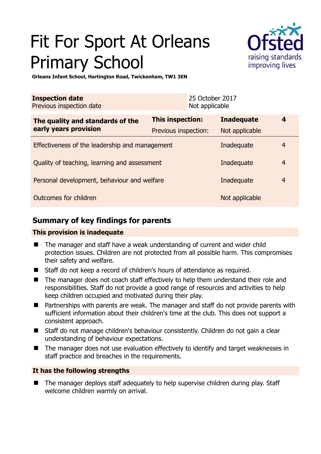# Fit For Sport At Orleans Primary School



**Orleans Infant School, Hartington Road, Twickenham, TW1 3EN** 

| <b>Inspection date</b><br>Previous inspection date |                         | 25 October 2017<br>Not applicable |                   |                |
|----------------------------------------------------|-------------------------|-----------------------------------|-------------------|----------------|
| The quality and standards of the                   | <b>This inspection:</b> |                                   | <b>Inadequate</b> | 4              |
| early years provision                              | Previous inspection:    |                                   | Not applicable    |                |
| Effectiveness of the leadership and management     |                         |                                   | Inadequate        | 4              |
| Quality of teaching, learning and assessment       |                         |                                   | Inadequate        | $\overline{4}$ |
| Personal development, behaviour and welfare        |                         |                                   | Inadequate        | $\overline{4}$ |
| Outcomes for children                              |                         |                                   | Not applicable    |                |

# **Summary of key findings for parents**

## **This provision is inadequate**

- The manager and staff have a weak understanding of current and wider child protection issues. Children are not protected from all possible harm. This compromises their safety and welfare.
- Staff do not keep a record of children's hours of attendance as required.
- The manager does not coach staff effectively to help them understand their role and responsibilities. Staff do not provide a good range of resources and activities to help keep children occupied and motivated during their play.
- Partnerships with parents are weak. The manager and staff do not provide parents with sufficient information about their children's time at the club. This does not support a consistent approach.
- Staff do not manage children's behaviour consistently. Children do not gain a clear understanding of behaviour expectations.
- The manager does not use evaluation effectively to identify and target weaknesses in staff practice and breaches in the requirements.

## **It has the following strengths**

 The manager deploys staff adequately to help supervise children during play. Staff welcome children warmly on arrival.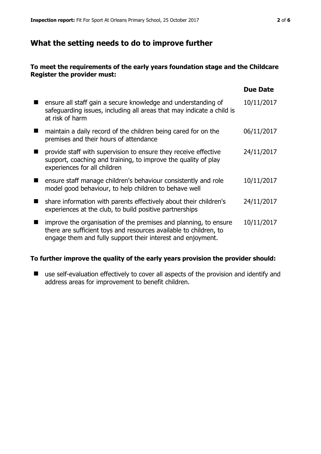## **What the setting needs to do to improve further**

#### **To meet the requirements of the early years foundation stage and the Childcare Register the provider must:**

|                                                                                                                                                                                                      | <b>Due Date</b> |
|------------------------------------------------------------------------------------------------------------------------------------------------------------------------------------------------------|-----------------|
| ensure all staff gain a secure knowledge and understanding of<br>safeguarding issues, including all areas that may indicate a child is<br>at risk of harm                                            | 10/11/2017      |
| maintain a daily record of the children being cared for on the<br>premises and their hours of attendance                                                                                             | 06/11/2017      |
| provide staff with supervision to ensure they receive effective<br>support, coaching and training, to improve the quality of play<br>experiences for all children                                    | 24/11/2017      |
| ensure staff manage children's behaviour consistently and role<br>model good behaviour, to help children to behave well                                                                              | 10/11/2017      |
| share information with parents effectively about their children's<br>experiences at the club, to build positive partnerships                                                                         | 24/11/2017      |
| improve the organisation of the premises and planning, to ensure<br>there are sufficient toys and resources available to children, to<br>engage them and fully support their interest and enjoyment. | 10/11/2017      |

#### **To further improve the quality of the early years provision the provider should:**

■ use self-evaluation effectively to cover all aspects of the provision and identify and address areas for improvement to benefit children.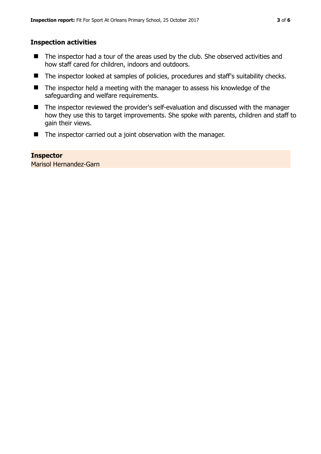#### **Inspection activities**

- The inspector had a tour of the areas used by the club. She observed activities and how staff cared for children, indoors and outdoors.
- The inspector looked at samples of policies, procedures and staff's suitability checks.
- The inspector held a meeting with the manager to assess his knowledge of the safeguarding and welfare requirements.
- The inspector reviewed the provider's self-evaluation and discussed with the manager how they use this to target improvements. She spoke with parents, children and staff to gain their views.
- The inspector carried out a joint observation with the manager.

#### **Inspector**

Marisol Hernandez-Garn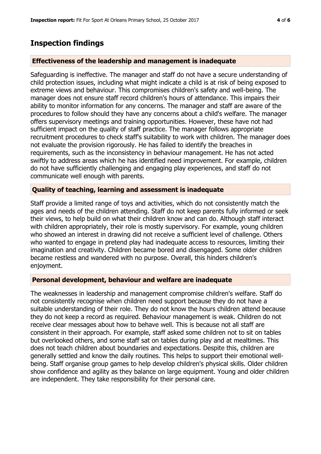## **Inspection findings**

#### **Effectiveness of the leadership and management is inadequate**

Safeguarding is ineffective. The manager and staff do not have a secure understanding of child protection issues, including what might indicate a child is at risk of being exposed to extreme views and behaviour. This compromises children's safety and well-being. The manager does not ensure staff record children's hours of attendance. This impairs their ability to monitor information for any concerns. The manager and staff are aware of the procedures to follow should they have any concerns about a child's welfare. The manager offers supervisory meetings and training opportunities. However, these have not had sufficient impact on the quality of staff practice. The manager follows appropriate recruitment procedures to check staff's suitability to work with children. The manager does not evaluate the provision rigorously. He has failed to identify the breaches in requirements, such as the inconsistency in behaviour management. He has not acted swiftly to address areas which he has identified need improvement. For example, children do not have sufficiently challenging and engaging play experiences, and staff do not communicate well enough with parents.

#### **Quality of teaching, learning and assessment is inadequate**

Staff provide a limited range of toys and activities, which do not consistently match the ages and needs of the children attending. Staff do not keep parents fully informed or seek their views, to help build on what their children know and can do. Although staff interact with children appropriately, their role is mostly supervisory. For example, young children who showed an interest in drawing did not receive a sufficient level of challenge. Others who wanted to engage in pretend play had inadequate access to resources, limiting their imagination and creativity. Children became bored and disengaged. Some older children became restless and wandered with no purpose. Overall, this hinders children's enjoyment.

#### **Personal development, behaviour and welfare are inadequate**

The weaknesses in leadership and management compromise children's welfare. Staff do not consistently recognise when children need support because they do not have a suitable understanding of their role. They do not know the hours children attend because they do not keep a record as required. Behaviour management is weak. Children do not receive clear messages about how to behave well. This is because not all staff are consistent in their approach. For example, staff asked some children not to sit on tables but overlooked others, and some staff sat on tables during play and at mealtimes. This does not teach children about boundaries and expectations. Despite this, children are generally settled and know the daily routines. This helps to support their emotional wellbeing. Staff organise group games to help develop children's physical skills. Older children show confidence and agility as they balance on large equipment. Young and older children are independent. They take responsibility for their personal care.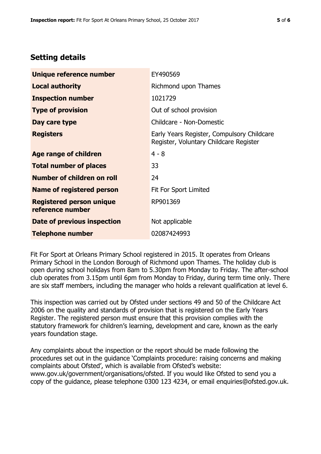## **Setting details**

| Unique reference number                             | EY490569                                                                             |
|-----------------------------------------------------|--------------------------------------------------------------------------------------|
| <b>Local authority</b>                              | Richmond upon Thames                                                                 |
| <b>Inspection number</b>                            | 1021729                                                                              |
| <b>Type of provision</b>                            | Out of school provision                                                              |
| Day care type                                       | Childcare - Non-Domestic                                                             |
| <b>Registers</b>                                    | Early Years Register, Compulsory Childcare<br>Register, Voluntary Childcare Register |
| Age range of children                               | $4 - 8$                                                                              |
| <b>Total number of places</b>                       | 33                                                                                   |
| Number of children on roll                          | 24                                                                                   |
| Name of registered person                           | Fit For Sport Limited                                                                |
| <b>Registered person unique</b><br>reference number | RP901369                                                                             |
| Date of previous inspection                         | Not applicable                                                                       |
| <b>Telephone number</b>                             | 02087424993                                                                          |

Fit For Sport at Orleans Primary School registered in 2015. It operates from Orleans Primary School in the London Borough of Richmond upon Thames. The holiday club is open during school holidays from 8am to 5.30pm from Monday to Friday. The after-school club operates from 3.15pm until 6pm from Monday to Friday, during term time only. There are six staff members, including the manager who holds a relevant qualification at level 6.

This inspection was carried out by Ofsted under sections 49 and 50 of the Childcare Act 2006 on the quality and standards of provision that is registered on the Early Years Register. The registered person must ensure that this provision complies with the statutory framework for children's learning, development and care, known as the early years foundation stage.

Any complaints about the inspection or the report should be made following the procedures set out in the guidance 'Complaints procedure: raising concerns and making complaints about Ofsted', which is available from Ofsted's website: www.gov.uk/government/organisations/ofsted. If you would like Ofsted to send you a copy of the guidance, please telephone 0300 123 4234, or email enquiries@ofsted.gov.uk.